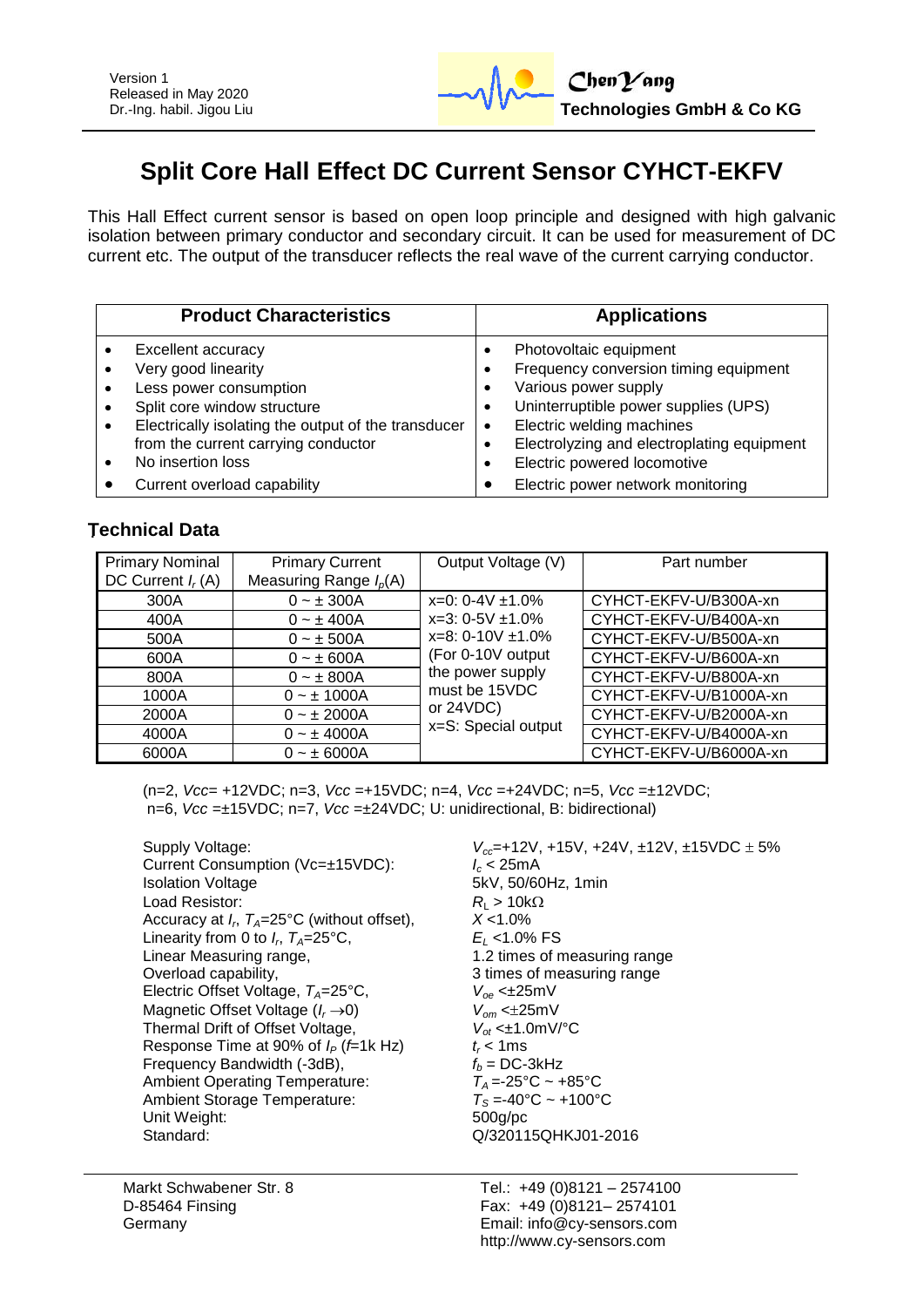# **Split Core Hall Effect DC Current Sensor CYHCT-EKFV**

This Hall Effect current sensor is based on open loop principle and designed with high galvanic isolation between primary conductor and secondary circuit. It can be used for measurement of DC current etc. The output of the transducer reflects the real wave of the current carrying conductor.

| <b>Applications</b>                                                                                                                                                                                                                                                                         |
|---------------------------------------------------------------------------------------------------------------------------------------------------------------------------------------------------------------------------------------------------------------------------------------------|
| Photovoltaic equipment<br>Frequency conversion timing equipment<br>Various power supply<br>Uninterruptible power supplies (UPS)<br>Electric welding machines<br>$\bullet$<br>Electrolyzing and electroplating equipment<br>Electric powered locomotive<br>Electric power network monitoring |
|                                                                                                                                                                                                                                                                                             |

## **Technical Data**

| <b>Primary Nominal</b><br>DC Current $I_r(A)$ | <b>Primary Current</b><br>Measuring Range $I_p(A)$ | Output Voltage (V)                                                                            | Part number                                      |
|-----------------------------------------------|----------------------------------------------------|-----------------------------------------------------------------------------------------------|--------------------------------------------------|
| 300A                                          | $0 - \pm 300A$                                     | $x=0$ : 0-4V $\pm$ 1.0%                                                                       | CYHCT-EKFV-U/B300A-xn                            |
| 400A<br>500A                                  | $0 - \pm 400A$<br>$0 - \pm 500A$                   | $x=3: 0-5V \pm 1.0\%$<br>$x=8: 0-10V \pm 1.0\%$                                               | CYHCT-EKFV-U/B400A-xn<br>CYHCT-EKFV-U/B500A-xn   |
| 600A<br>800A                                  | $0 - \pm 600A$<br>$0 - \pm 800A$                   | (For 0-10V output<br>the power supply<br>must be 15VDC<br>or $24VDC$ )<br>x=S: Special output | CYHCT-EKFV-U/B600A-xn<br>CYHCT-EKFV-U/B800A-xn   |
| 1000A                                         | $0 - \pm 1000A$                                    |                                                                                               | CYHCT-EKFV-U/B1000A-xn                           |
| 2000A<br>4000A                                | $0 - \pm 2000A$<br>$0 - \pm 4000A$                 |                                                                                               | CYHCT-EKFV-U/B2000A-xn<br>CYHCT-EKFV-U/B4000A-xn |
| 6000A                                         | $0 - \pm 6000A$                                    |                                                                                               | CYHCT-EKFV-U/B6000A-xn                           |

(n=2, *Vcc*= +12VDC; n=3, *Vcc* =+15VDC; n=4, *Vcc* =+24VDC; n=5, *Vcc* =±12VDC; n=6, *Vcc* =±15VDC; n=7, *Vcc* =±24VDC; U: unidirectional, B: bidirectional)

Supply Voltage: *V<sub>cc</sub>*=+12V, +15V, +24V, ±12V, ±15VDC ± 5%<br>Current Consumption (Vc=±15VDC): *I<sub>c</sub>* < 25mA Current Consumption (Vc=±15VDC): Isolation Voltage 5kV, 50/60Hz, 1min Load Resistor:  $R_{\text{L}} > 10 \text{k}\Omega$ <br>Accuracy at  $L \cdot T_A = 25^\circ \text{C}$  (without offset).  $X < 1.0\%$ Accuracy at *I<sup>r</sup>* , *TA*=25°C (without offset), *X* <1.0% Linearity from 0 to  $I_r$ ,  $T_A = 25^\circ \text{C}$ ,<br>Linear Measuring range, Overload capability,<br>
Electric Offset Voltage,  $T_{A}=25^{\circ}$ C,  $V_{oe} \leq \pm 25$ mV Electric Offset Voltage,  $T_A = 25^\circ \text{C}$ , Magnetic Offset Voltage ( $I_r \rightarrow 0$ )  $V_{om} < \pm 25 \text{mV}$ <br>Thermal Drift of Offset Voltage,  $V_{of} < \pm 1.0 \text{mV}$ <sup>o</sup>C Thermal Drift of Offset Voltage, *V*<sub>ot</sub> <±1.0mg <br>Response Time at 90% of  $I_P$  (*f*=1k Hz) *t* < 1ms Response Time at 90% of  $I_P$  (*f*=1k Hz)  $t_r < 1$ ms<br>Frequency Bandwidth (-3dB),  $f_h = DC-3kHz$ Frequency Bandwidth (-3dB),  $f_b = DC-3kHz$ <br>Ambient Operating Temperature:  $T_A = -25^\circ \text{C} \sim +85^\circ \text{C}$ Ambient Operating Temperature:  $T_A = -25^{\circ}C \sim +85^{\circ}C$ <br>Ambient Storage Temperature:  $T_S = -40^{\circ}C \sim +100^{\circ}C$ Ambient Storage Temperature:  $T_s = -40^\circ$ <br>Unit Weight: 500g/pc Unit Weight: Standard: C/320115QHKJ01-2016

, *TA*=25°C, *E<sup>L</sup>* <1.0% FS 1.2 times of measuring range